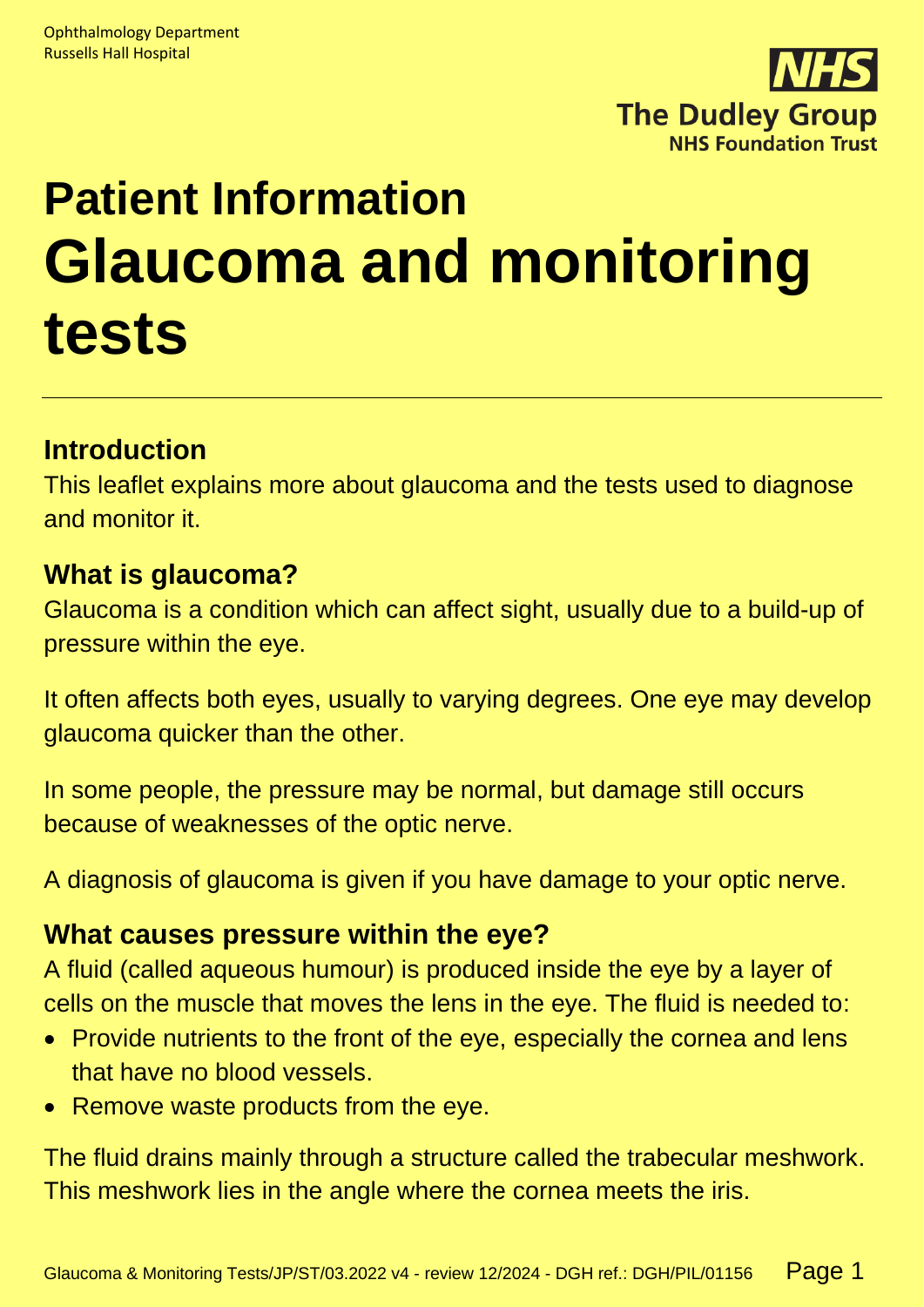

# **Patient Information Glaucoma and monitoring tests**

# **Introduction**

This leaflet explains more about glaucoma and the tests used to diagnose and monitor it.

## **What is glaucoma?**

Glaucoma is a condition which can affect sight, usually due to a build-up of pressure within the eye.

It often affects both eyes, usually to varying degrees. One eye may develop glaucoma quicker than the other.

In some people, the pressure may be normal, but damage still occurs because of weaknesses of the optic nerve.

A diagnosis of glaucoma is given if you have damage to your optic nerve.

## **What causes pressure within the eye?**

A fluid (called aqueous humour) is produced inside the eye by a layer of cells on the muscle that moves the lens in the eye. The fluid is needed to:

- Provide nutrients to the front of the eye, especially the cornea and lens that have no blood vessels.
- Remove waste products from the eye.

The fluid drains mainly through a structure called the trabecular meshwork. This meshwork lies in the angle where the cornea meets the iris.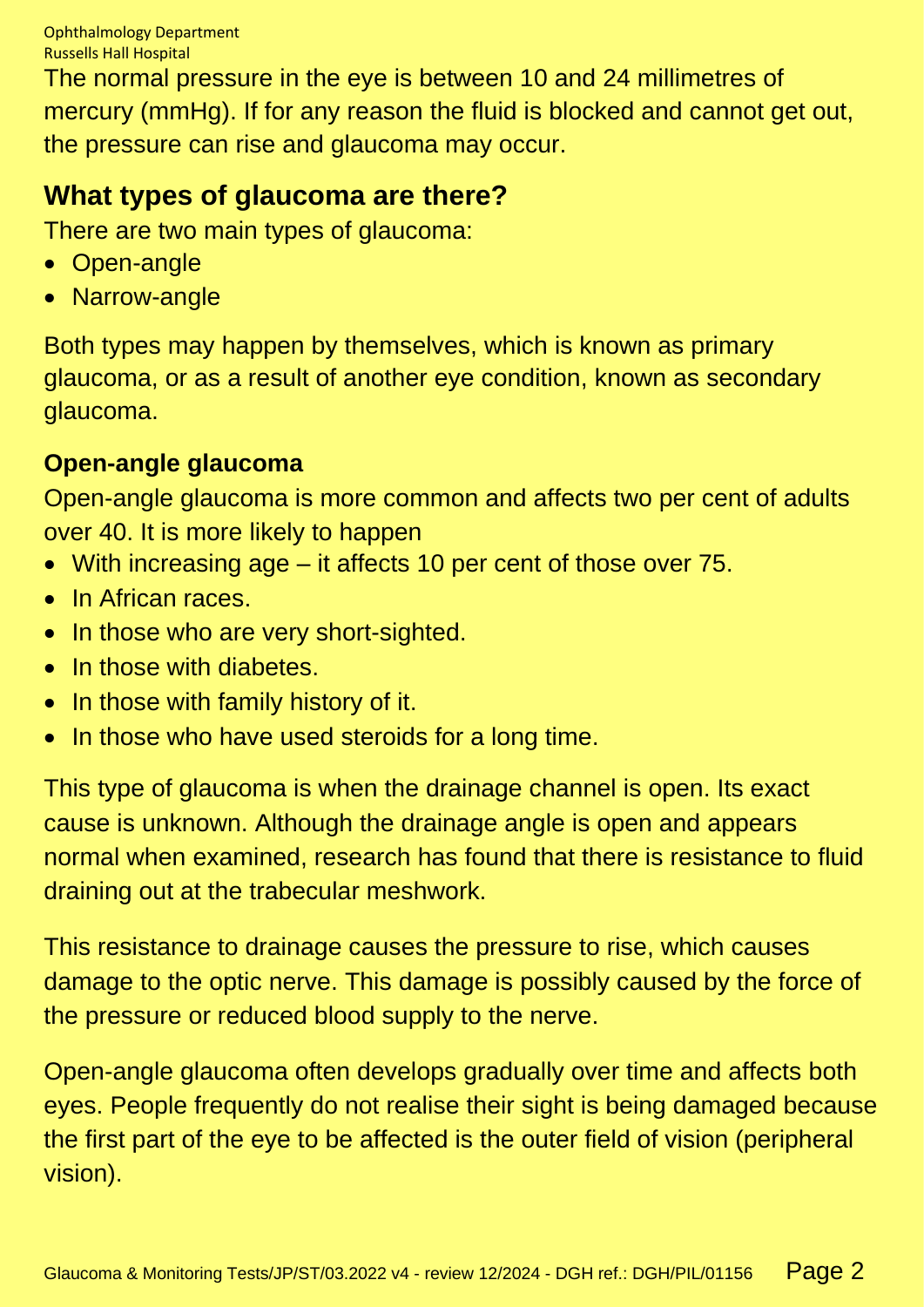The normal pressure in the eye is between 10 and 24 millimetres of mercury (mmHg). If for any reason the fluid is blocked and cannot get out, the pressure can rise and glaucoma may occur.

# **What types of glaucoma are there?**

There are two main types of glaucoma:

- Open-angle
- Narrow-angle

Both types may happen by themselves, which is known as primary glaucoma, or as a result of another eye condition, known as secondary glaucoma.

## **Open-angle glaucoma**

Open-angle glaucoma is more common and affects two per cent of adults over 40. It is more likely to happen

- With increasing age it affects 10 per cent of those over 75.
- In African races.
- In those who are very short-sighted.
- In those with diabetes.
- In those with family history of it.
- In those who have used steroids for a long time.

This type of glaucoma is when the drainage channel is open. Its exact cause is unknown. Although the drainage angle is open and appears normal when examined, research has found that there is resistance to fluid draining out at the trabecular meshwork.

This resistance to drainage causes the pressure to rise, which causes damage to the optic nerve. This damage is possibly caused by the force of the pressure or reduced blood supply to the nerve.

Open-angle glaucoma often develops gradually over time and affects both eyes. People frequently do not realise their sight is being damaged because the first part of the eye to be affected is the outer field of vision (peripheral vision).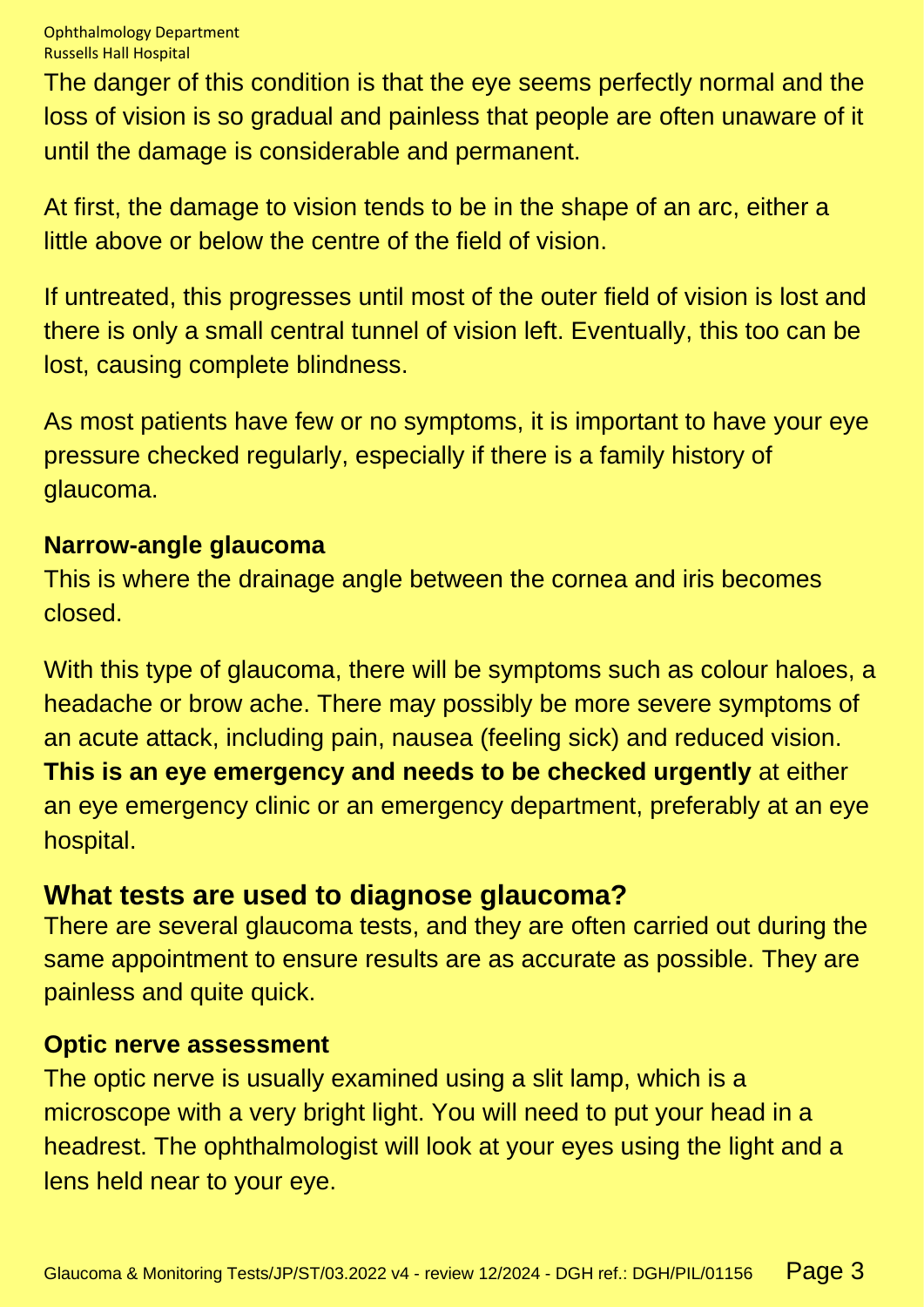The danger of this condition is that the eye seems perfectly normal and the loss of vision is so gradual and painless that people are often unaware of it until the damage is considerable and permanent.

At first, the damage to vision tends to be in the shape of an arc, either a little above or below the centre of the field of vision.

If untreated, this progresses until most of the outer field of vision is lost and there is only a small central tunnel of vision left. Eventually, this too can be lost, causing complete blindness.

As most patients have few or no symptoms, it is important to have your eye pressure checked regularly, especially if there is a family history of glaucoma.

#### **Narrow-angle glaucoma**

This is where the drainage angle between the cornea and iris becomes closed.

With this type of glaucoma, there will be symptoms such as colour haloes, a headache or brow ache. There may possibly be more severe symptoms of an acute attack, including pain, nausea (feeling sick) and reduced vision. **This is an eye emergency and needs to be checked urgently** at either an eye emergency clinic or an emergency department, preferably at an eye hospital.

## **What tests are used to diagnose glaucoma?**

There are several glaucoma tests, and they are often carried out during the same appointment to ensure results are as accurate as possible. They are painless and quite quick.

#### **Optic nerve assessment**

The optic nerve is usually examined using a slit lamp, which is a microscope with a very bright light. You will need to put your head in a headrest. The ophthalmologist will look at your eyes using the light and a lens held near to your eye.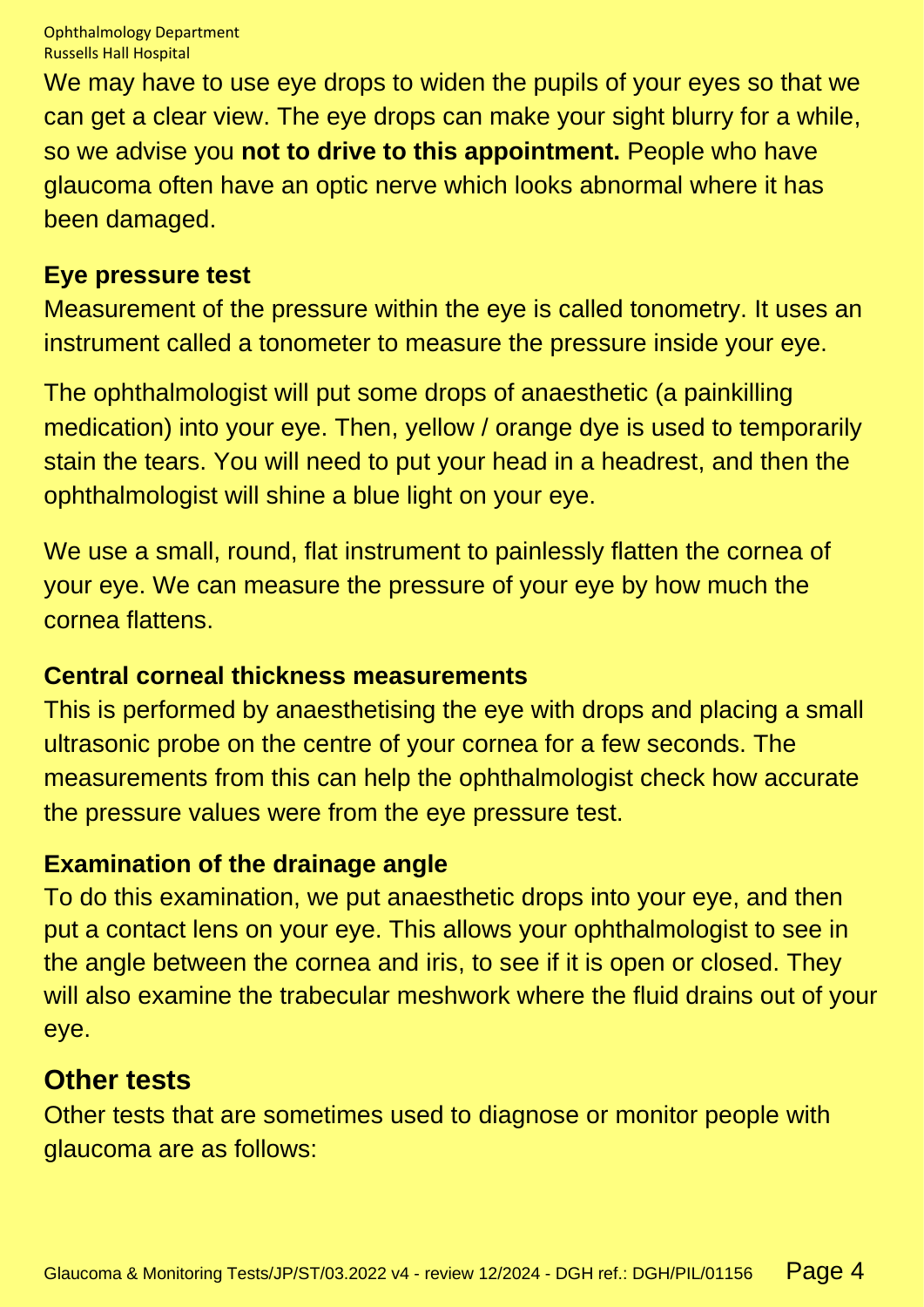We may have to use eye drops to widen the pupils of your eyes so that we can get a clear view. The eye drops can make your sight blurry for a while, so we advise you **not to drive to this appointment.** People who have glaucoma often have an optic nerve which looks abnormal where it has been damaged.

#### **Eye pressure test**

Measurement of the pressure within the eye is called tonometry. It uses an instrument called a tonometer to measure the pressure inside your eye.

The ophthalmologist will put some drops of anaesthetic (a painkilling medication) into your eye. Then, yellow / orange dye is used to temporarily stain the tears. You will need to put your head in a headrest, and then the ophthalmologist will shine a blue light on your eye.

We use a small, round, flat instrument to painlessly flatten the cornea of your eye. We can measure the pressure of your eye by how much the cornea flattens.

#### **Central corneal thickness measurements**

This is performed by anaesthetising the eye with drops and placing a small ultrasonic probe on the centre of your cornea for a few seconds. The measurements from this can help the ophthalmologist check how accurate the pressure values were from the eye pressure test.

#### **Examination of the drainage angle**

To do this examination, we put anaesthetic drops into your eye, and then put a contact lens on your eye. This allows your ophthalmologist to see in the angle between the cornea and iris, to see if it is open or closed. They will also examine the trabecular meshwork where the fluid drains out of your eye.

#### **Other tests**

Other tests that are sometimes used to diagnose or monitor people with glaucoma are as follows: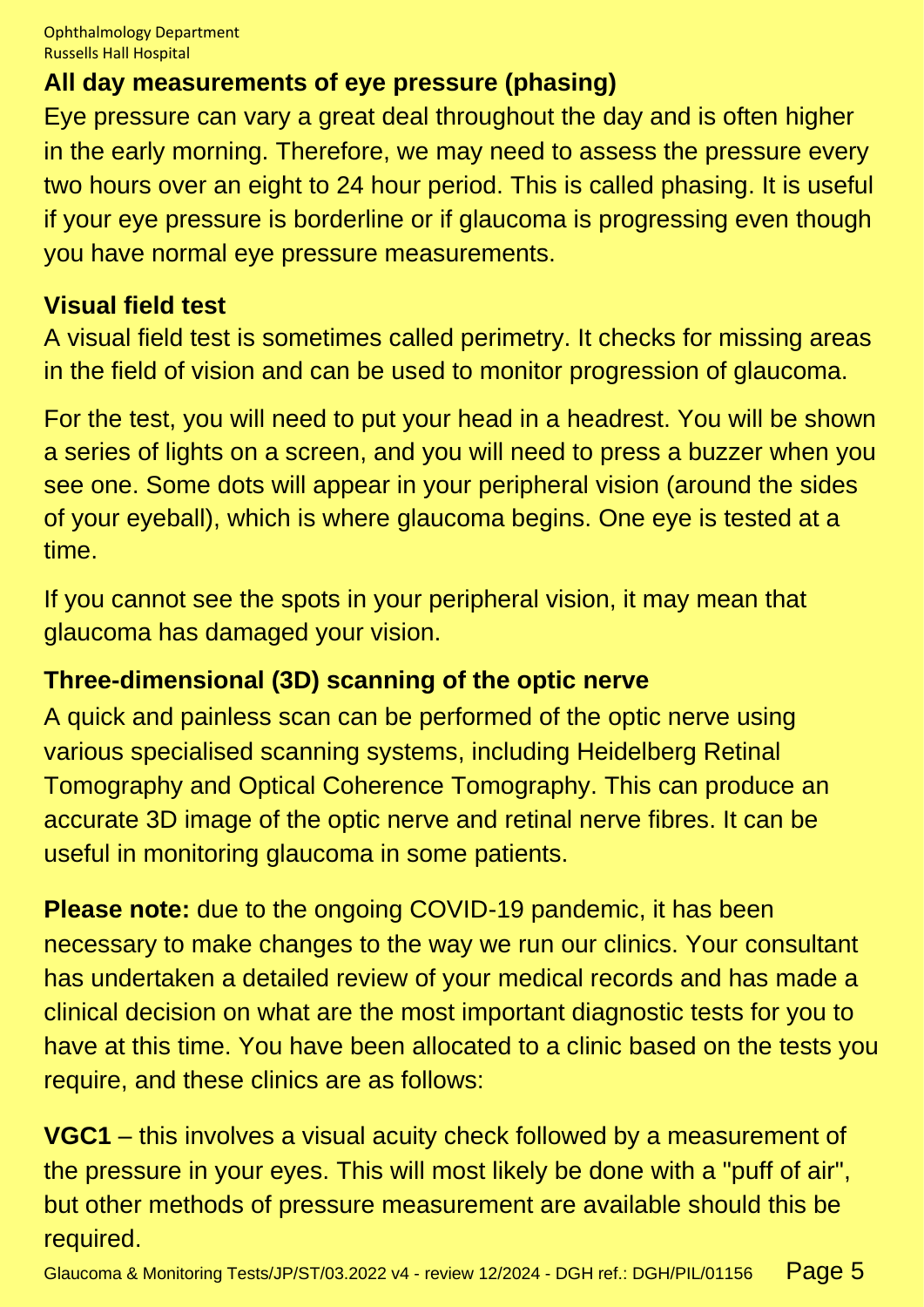## **All day measurements of eye pressure (phasing)**

Eye pressure can vary a great deal throughout the day and is often higher in the early morning. Therefore, we may need to assess the pressure every two hours over an eight to 24 hour period. This is called phasing. It is useful if your eye pressure is borderline or if glaucoma is progressing even though you have normal eye pressure measurements.

#### **Visual field test**

A visual field test is sometimes called perimetry. It checks for missing areas in the field of vision and can be used to monitor progression of glaucoma.

For the test, you will need to put your head in a headrest. You will be shown a series of lights on a screen, and you will need to press a buzzer when you see one. Some dots will appear in your peripheral vision (around the sides of your eyeball), which is where glaucoma begins. One eye is tested at a time.

If you cannot see the spots in your peripheral vision, it may mean that glaucoma has damaged your vision.

#### **Three-dimensional (3D) scanning of the optic nerve**

A quick and painless scan can be performed of the optic nerve using various specialised scanning systems, including Heidelberg Retinal Tomography and Optical Coherence Tomography. This can produce an accurate 3D image of the optic nerve and retinal nerve fibres. It can be useful in monitoring glaucoma in some patients.

**Please note:** due to the ongoing COVID-19 pandemic, it has been necessary to make changes to the way we run our clinics. Your consultant has undertaken a detailed review of your medical records and has made a clinical decision on what are the most important diagnostic tests for you to have at this time. You have been allocated to a clinic based on the tests you require, and these clinics are as follows:

**VGC1** – this involves a visual acuity check followed by a measurement of the pressure in your eyes. This will most likely be done with a "puff of air", but other methods of pressure measurement are available should this be required.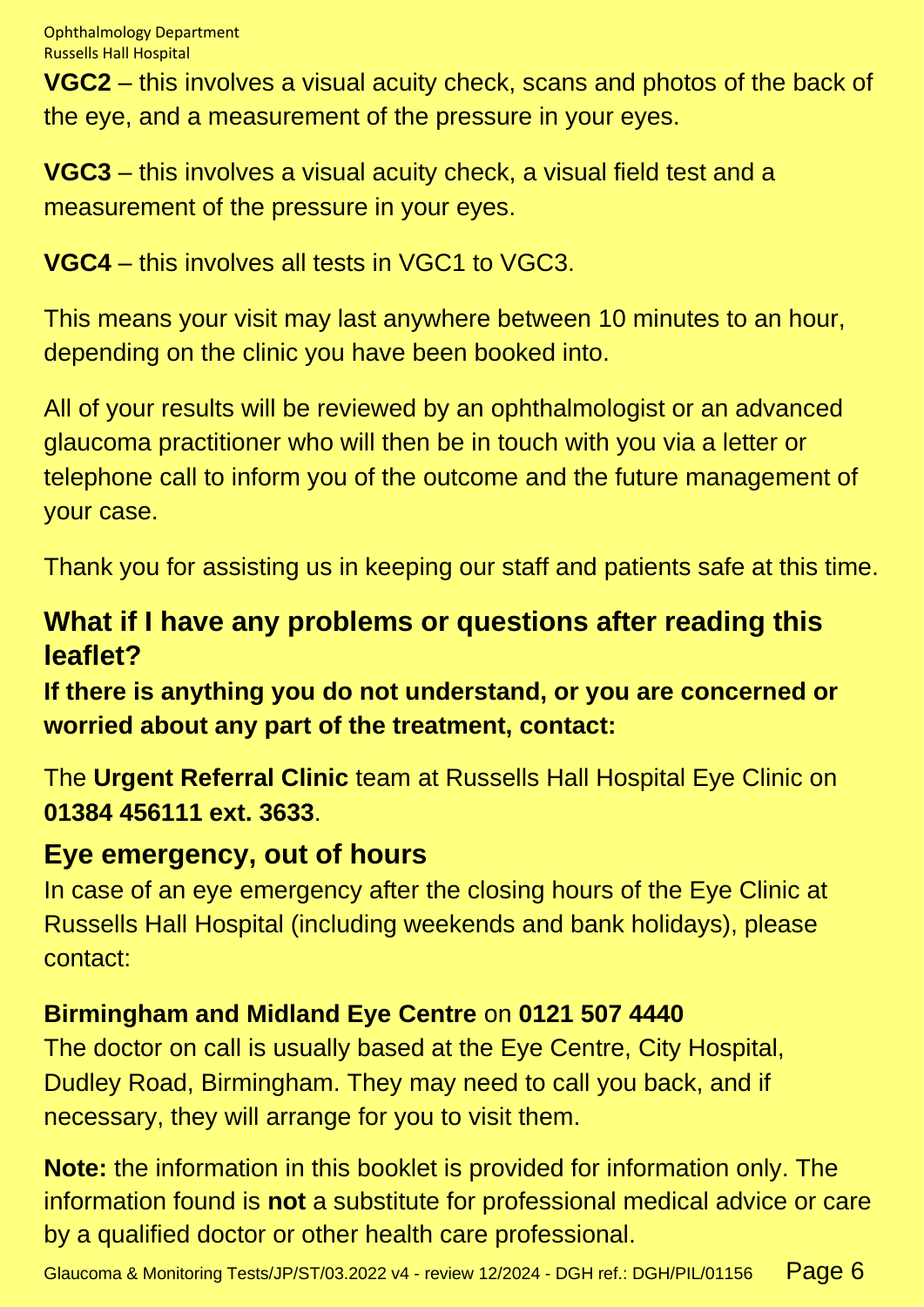**VGC2** – this involves a visual acuity check, scans and photos of the back of the eye, and a measurement of the pressure in your eyes.

**VGC3** – this involves a visual acuity check, a visual field test and a measurement of the pressure in your eyes.

**VGC4** – this involves all tests in VGC1 to VGC3.

This means your visit may last anywhere between 10 minutes to an hour, depending on the clinic you have been booked into.

All of your results will be reviewed by an ophthalmologist or an advanced glaucoma practitioner who will then be in touch with you via a letter or telephone call to inform you of the outcome and the future management of your case.

Thank you for assisting us in keeping our staff and patients safe at this time.

# **What if I have any problems or questions after reading this leaflet?**

**If there is anything you do not understand, or you are concerned or worried about any part of the treatment, contact:**

The **Urgent Referral Clinic** team at Russells Hall Hospital Eye Clinic on **01384 456111 ext. 3633**.

## **Eye emergency, out of hours**

In case of an eye emergency after the closing hours of the Eye Clinic at Russells Hall Hospital (including weekends and bank holidays), please contact:

## **Birmingham and Midland Eye Centre** on **0121 507 4440**

The doctor on call is usually based at the Eye Centre, City Hospital, Dudley Road, Birmingham. They may need to call you back, and if necessary, they will arrange for you to visit them.

**Note:** the information in this booklet is provided for information only. The information found is **not** a substitute for professional medical advice or care by a qualified doctor or other health care professional.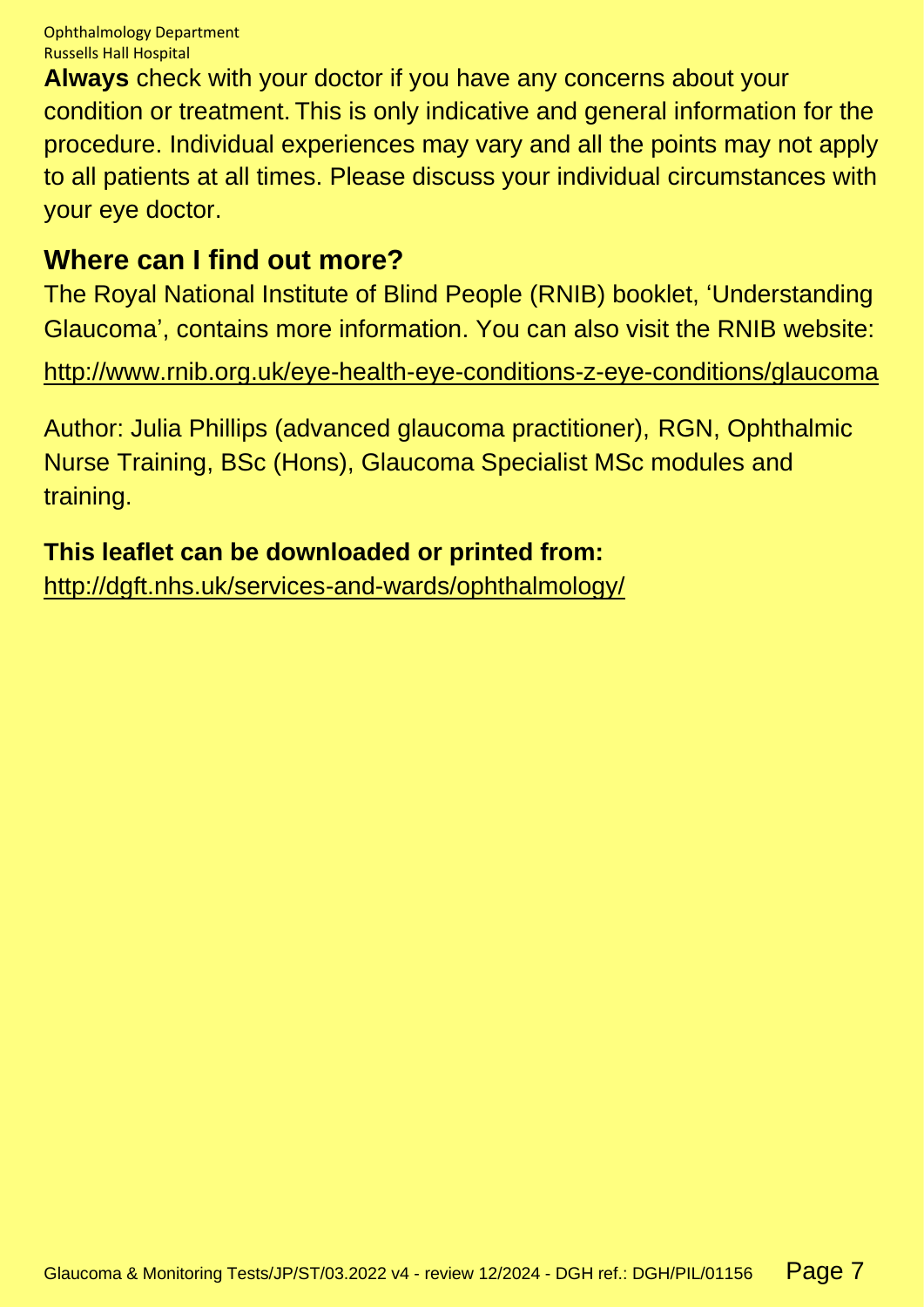**Always** check with your doctor if you have any concerns about your condition or treatment. This is only indicative and general information for the procedure. Individual experiences may vary and all the points may not apply to all patients at all times. Please discuss your individual circumstances with your eye doctor.

## **Where can I find out more?**

The Royal National Institute of Blind People (RNIB) booklet, 'Understanding Glaucoma', contains more information. You can also visit the RNIB website:

<http://www.rnib.org.uk/eye-health-eye-conditions-z-eye-conditions/glaucoma>

Author: Julia Phillips (advanced glaucoma practitioner), RGN, Ophthalmic Nurse Training, BSc (Hons), Glaucoma Specialist MSc modules and training.

## **This leaflet can be downloaded or printed from:**

<http://dgft.nhs.uk/services-and-wards/ophthalmology/>